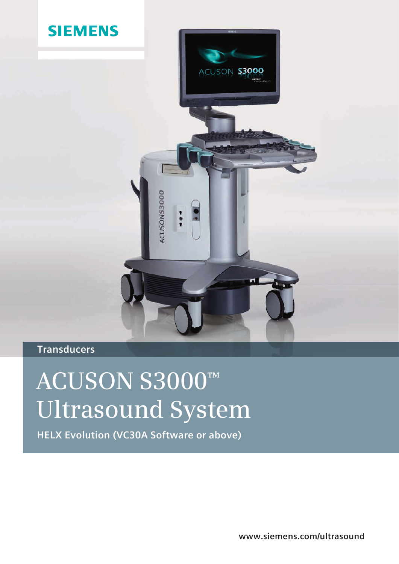

# **Transducers**

# **ACUSON S3000™ Ultrasound System**

**HELX Evolution (VC30A Software or above)**

**www.siemens.com/ultrasound**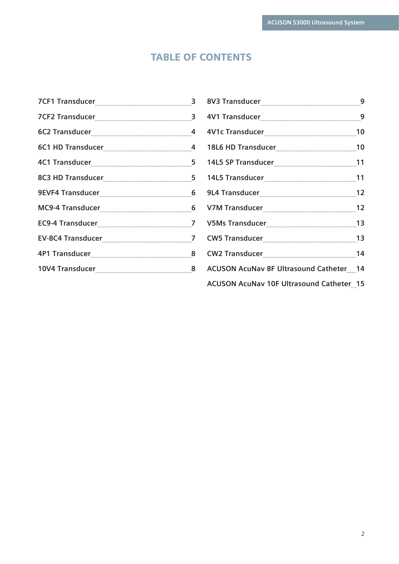# TABLE OF CONTENTS

|                                                                                                                | 8 <sub>b</sub> |
|----------------------------------------------------------------------------------------------------------------|----------------|
| 7CF2 Transducer [1001] 7CF2 Transducer [1001] 3                                                                | 4 <sub>l</sub> |
| 6C2 Transducer [11] 14 Million 2015 15 Million 2016                                                            | 4 <sub>l</sub> |
|                                                                                                                | 18             |
|                                                                                                                | 14             |
|                                                                                                                | 14             |
|                                                                                                                | 9L             |
|                                                                                                                | V <sub>7</sub> |
|                                                                                                                | V5             |
|                                                                                                                | C <sub>V</sub> |
|                                                                                                                | C <sub>V</sub> |
| 10V4 Transducer [10001] [80001] [80001] [80001] [80001] [80001] [80001] [80001] [80001] [80001] [80001] [80001 | A <sub>C</sub> |
|                                                                                                                |                |

| <b>ACUSON AcuNav 8F Ultrasound Catheter 14</b> |  |
|------------------------------------------------|--|
| ACUSON AcuNav 10F Ultrasound Catheter 15       |  |

2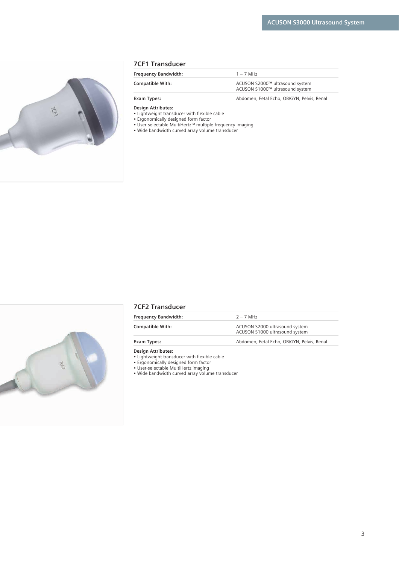<span id="page-2-0"></span>

#### **7CF1 Transducer**

| <b>Frequency Bandwidth:</b> | $1 - 7$ MH <sub>7</sub>                                            |
|-----------------------------|--------------------------------------------------------------------|
| <b>Compatible With:</b>     | ACUSON S2000™ ultrasound system<br>ACUSON S1000™ ultrasound system |
| Exam Types:                 | Abdomen, Fetal Echo, OB/GYN, Pelvis, Renal                         |

**Design Attributes:** 

• Lightweight transducer with flexible cable

• Ergonomically designed form factor

- User-selectable MultiHertz™ multiple frequency imaging
	- Wide bandwidth curved array volume transducer



#### **7CF2 Transducer**

| <b>Frequency Bandwidth:</b> | $2 - 7$ MHz                                                      |
|-----------------------------|------------------------------------------------------------------|
| <b>Compatible With:</b>     | ACUSON S2000 ultrasound system<br>ACUSON S1000 ultrasound system |
| Exam Types:                 | Abdomen, Fetal Echo, OB/GYN, Pelvis, Renal                       |

**Design Attributes:** 

• Lightweight transducer with flexible cable

• Ergonomically designed form factor

• User-selectable MultiHertz imaging

• Wide bandwidth curved array volume transducer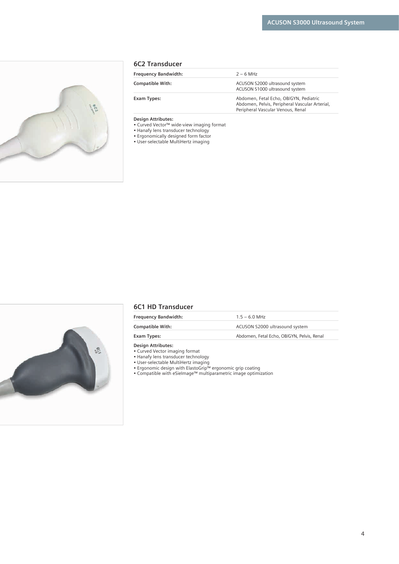<span id="page-3-0"></span>

|  | <b>6C2 Transducer</b> |  |
|--|-----------------------|--|
|--|-----------------------|--|

| <b>Frequency Bandwidth:</b> | $2 - 6$ MHz                                                                                                                   |
|-----------------------------|-------------------------------------------------------------------------------------------------------------------------------|
| <b>Compatible With:</b>     | ACUSON S2000 ultrasound system<br>ACUSON S1000 ultrasound system                                                              |
| Exam Types:                 | Abdomen, Fetal Echo, OB/GYN, Pediatric<br>Abdomen, Pelvis, Peripheral Vascular Arterial,<br>Peripheral Vascular Venous, Renal |

- Curved Vector™ wide-view imaging format
- Hanafy lens transducer technology
- Ergonomically designed form factor
- User-selectable MultiHertz imaging



#### **6C1 HD Transducer**

| <b>Frequency Bandwidth:</b> | $1.5 - 6.0$ MHz                            |
|-----------------------------|--------------------------------------------|
| <b>Compatible With:</b>     | ACUSON S2000 ultrasound system             |
| Exam Types:                 | Abdomen, Fetal Echo, OB/GYN, Pelvis, Renal |
|                             |                                            |

#### **Design Attributes:**

• Curved Vector imaging format

• Hanafy lens transducer technology

• User-selectable MultiHertz imaging

• Ergonomic design with ElastoGrip™ ergonomic grip coating

• Compatible with eSieImage™ multiparametric image optimization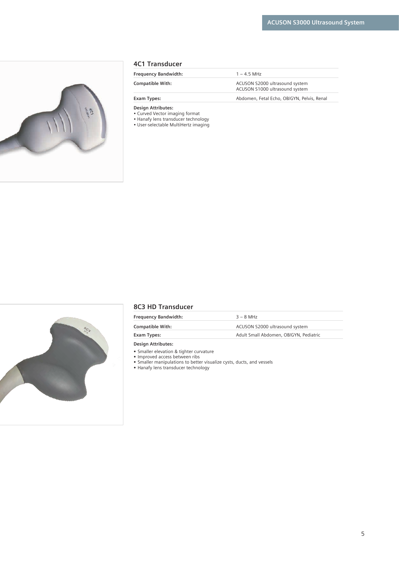<span id="page-4-0"></span>

#### **4C1 Transducer**

| <b>Frequency Bandwidth:</b> | $1 - 45$ MHz                                                     |
|-----------------------------|------------------------------------------------------------------|
| <b>Compatible With:</b>     | ACUSON S2000 ultrasound system<br>ACUSON S1000 ultrasound system |
| Exam Types:                 | Abdomen, Fetal Echo, OB/GYN, Pelvis, Renal                       |

**Design Attributes:** 

• Curved Vector imaging format

• Hanafy lens transducer technology

• User-selectable MultiHertz imaging



#### **8C3 HD Transducer**

| <b>Frequency Bandwidth:</b> | $3 - 8$ MHz                            |
|-----------------------------|----------------------------------------|
| <b>Compatible With:</b>     | ACUSON S2000 ultrasound system         |
| Exam Types:                 | Adult Small Abdomen, OB/GYN, Pediatric |
| <b>Design Attributes:</b>   |                                        |

**•** Smaller elevation & tighter curvature

**•** Improved access between ribs

**•** Smaller manipulations to better visualize cysts, ducts, and vessels **•** Hanafy lens transducer technology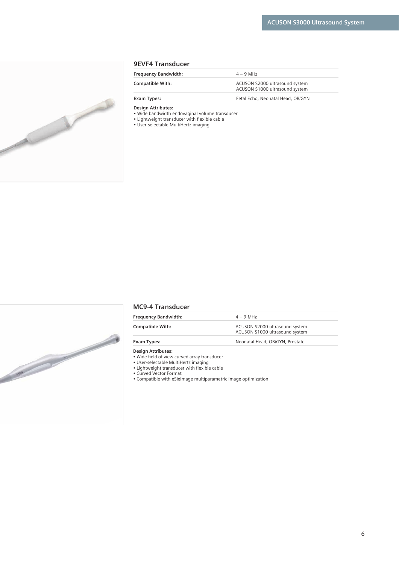<span id="page-5-0"></span>

#### **9EVF4 Transducer**

| <b>Frequency Bandwidth:</b> | $4 - 9$ MHz                                                      |
|-----------------------------|------------------------------------------------------------------|
| <b>Compatible With:</b>     | ACUSON S2000 ultrasound system<br>ACUSON S1000 ultrasound system |
| Exam Types:                 | Fetal Echo, Neonatal Head, OB/GYN                                |

#### **Design Attributes:**

• Wide bandwidth endovaginal volume transducer

• Lightweight transducer with flexible cable

• User-selectable MultiHertz imaging



#### **MC9-4 Transducer**

| <b>Frequency Bandwidth:</b> | $4 - 9$ MHz                                                      |
|-----------------------------|------------------------------------------------------------------|
| <b>Compatible With:</b>     | ACUSON S2000 ultrasound system<br>ACUSON S1000 ultrasound system |
| Exam Types:                 | Neonatal Head, OB/GYN, Prostate                                  |

**Design Attributes:** 

• Wide field of view curved array transducer

• User-selectable MultiHertz imaging

• Lightweight transducer with flexible cable

• Curved Vector Format

• Compatible with eSieImage multiparametric image optimization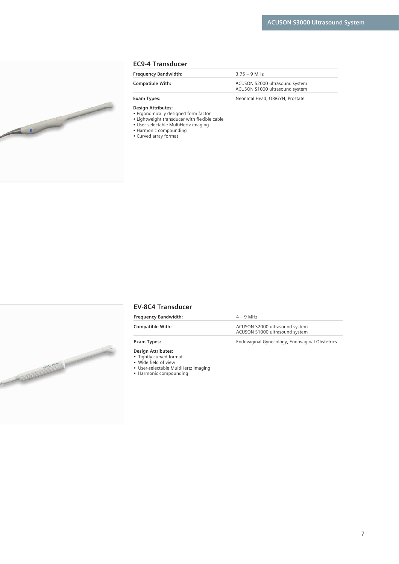<span id="page-6-0"></span>

#### **EC9-4 Transducer**

| <b>Frequency Bandwidth:</b> | $3.75 - 9$ MHz                                                   |
|-----------------------------|------------------------------------------------------------------|
| <b>Compatible With:</b>     | ACUSON S2000 ultrasound system<br>ACUSON S1000 ultrasound system |
| Exam Types:                 | Neonatal Head, OB/GYN, Prostate                                  |

#### **Design Attributes:**

- Ergonomically designed form factor
- Lightweight transducer with flexible cable
- User-selectable MultiHertz imaging
- Harmonic compounding • Curved array format



#### **EV-8C4 Transducer**

| <b>Frequency Bandwidth:</b> | $4 - 9$ MH <sub>7</sub>                                          |
|-----------------------------|------------------------------------------------------------------|
| <b>Compatible With:</b>     | ACUSON S2000 ultrasound system<br>ACUSON S1000 ultrasound system |
| Exam Types:                 | Endovaginal Gynecology, Endovaginal Obstetrics                   |

- **Design Attributes:**
- Tightly curved format
- Wide field of view
- User-selectable MultiHertz imaging
- Harmonic compounding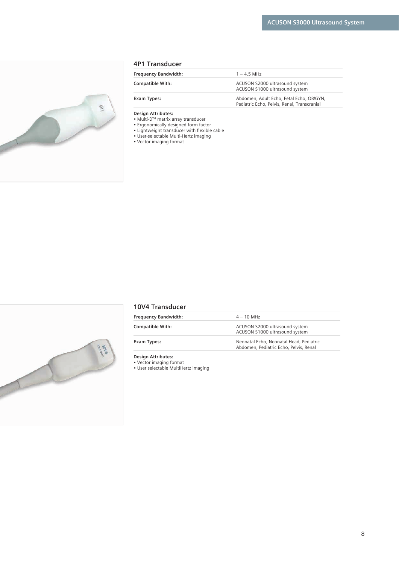<span id="page-7-0"></span>

| 4P1 Transducer |  |
|----------------|--|
|----------------|--|

| <b>Frequency Bandwidth:</b> | $1 - 45$ MH <sub>7</sub>                                                                |
|-----------------------------|-----------------------------------------------------------------------------------------|
| <b>Compatible With:</b>     | ACUSON S2000 ultrasound system<br>ACUSON S1000 ultrasound system                        |
| Exam Types:                 | Abdomen, Adult Echo, Fetal Echo, OB/GYN,<br>Pediatric Echo, Pelvis, Renal, Transcranial |
|                             |                                                                                         |

- Multi-D™ matrix array transducer
- Ergonomically designed form factor
- Lightweight transducer with flexible cable
- User-selectable Multi-Hertz imaging
- Vector imaging format



# **10V4 Transducer**

| <b>Frequency Bandwidth:</b> | $4 - 10$ MHz                                                                      |
|-----------------------------|-----------------------------------------------------------------------------------|
| <b>Compatible With:</b>     | ACUSON S2000 ultrasound system<br>ACUSON S1000 ultrasound system                  |
| Exam Types:                 | Neonatal Echo, Neonatal Head, Pediatric<br>Abdomen, Pediatric Echo, Pelvis, Renal |

**Design Attributes:** 

• Vector imaging format

• User selectable MultiHertz imaging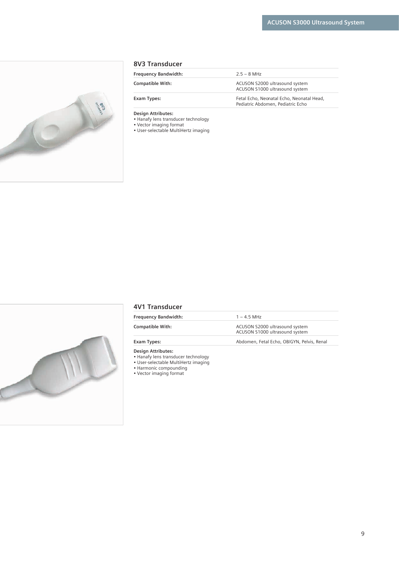<span id="page-8-0"></span>

#### **8V3 Transducer**

| <b>Frequency Bandwidth:</b> | $2.5 - 8$ MHz                                                                  |
|-----------------------------|--------------------------------------------------------------------------------|
| <b>Compatible With:</b>     | ACUSON S2000 ultrasound system<br>ACUSON S1000 ultrasound system               |
| Exam Types:                 | Fetal Echo, Neonatal Echo, Neonatal Head,<br>Pediatric Abdomen, Pediatric Echo |

**Design Attributes:** 

• Hanafy lens transducer technology

• Vector imaging format

• User-selectable MultiHertz imaging



# **4V1 Transducer**

| <b>Frequency Bandwidth:</b> | $1 - 4.5$ MHz                                                    |
|-----------------------------|------------------------------------------------------------------|
| <b>Compatible With:</b>     | ACUSON S2000 ultrasound system<br>ACUSON S1000 ultrasound system |
| Exam Types:                 | Abdomen, Fetal Echo, OB/GYN, Pelvis, Renal                       |

**Design Attributes:** 

• Hanafy lens transducer technology

• User-selectable MultiHertz imaging

• Harmonic compounding

• Vector imaging format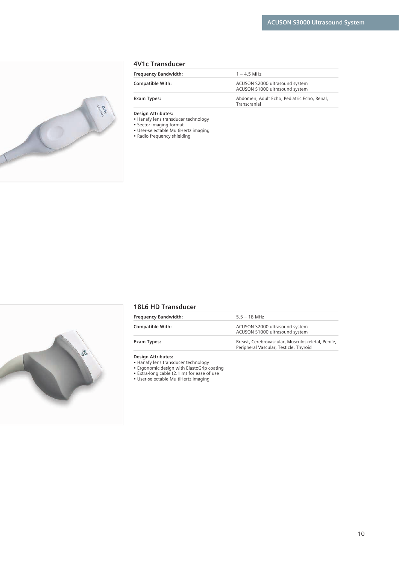<span id="page-9-0"></span>

#### **4V1c Transducer**

| <b>Frequency Bandwidth:</b> | $1 - 45$ MHz                                                     |
|-----------------------------|------------------------------------------------------------------|
| <b>Compatible With:</b>     | ACUSON S2000 ultrasound system<br>ACUSON S1000 ultrasound system |
| Exam Types:                 | Abdomen, Adult Echo, Pediatric Echo, Renal,<br>Transcranial      |

**Design Attributes:** 

• Hanafy lens transducer technology

• Sector imaging format

• User-selectable MultiHertz imaging • Radio frequency shielding



# **18L6 HD Transducer**

| <b>Frequency Bandwidth:</b> | $5.5 - 18$ MHz                                                                              |
|-----------------------------|---------------------------------------------------------------------------------------------|
| <b>Compatible With:</b>     | ACUSON S2000 ultrasound system<br>ACUSON S1000 ultrasound system                            |
| Exam Types:                 | Breast, Cerebrovascular, Musculoskeletal, Penile,<br>Peripheral Vascular, Testicle, Thyroid |

**Design Attributes:** 

• Hanafy lens transducer technology

• Ergonomic design with ElastoGrip coating

• Extra-long cable (2.1 m) for ease of use

• User-selectable MultiHertz imaging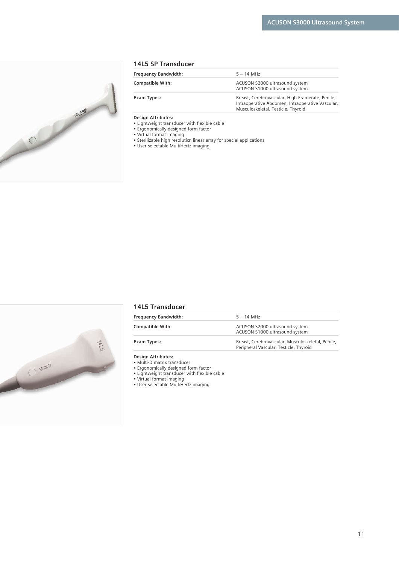<span id="page-10-0"></span>

#### **14L5 SP Transducer**

| <b>Frequency Bandwidth:</b> | $5 - 14$ MHz                                                                                                                               |
|-----------------------------|--------------------------------------------------------------------------------------------------------------------------------------------|
| <b>Compatible With:</b>     | ACUSON S2000 ultrasound system<br>ACUSON S1000 ultrasound system                                                                           |
| Exam Types:                 | Breast, Cerebrovascular, High Framerate, Penile,<br>Intraoperative Abdomen, Intraoperative Vascular,<br>Musculoskeletal, Testicle, Thyroid |

#### **Design Attributes:**

• Lightweight transducer with flexible cable

- Ergonomically designed form factor
- Virtual format imaging
- Sterilizable high resolution linear array for special applications
- User-selectable MultiHertz imaging



#### **14L5 Transducer**

| <b>Frequency Bandwidth:</b> | $5 - 14$ MHz                                                                                |
|-----------------------------|---------------------------------------------------------------------------------------------|
| <b>Compatible With:</b>     | ACUSON S2000 ultrasound system<br>ACUSON S1000 ultrasound system                            |
| Exam Types:                 | Breast, Cerebrovascular, Musculoskeletal, Penile,<br>Peripheral Vascular, Testicle, Thyroid |

**Design Attributes:** 

- Multi-D matrix transducer
- Ergonomically designed form factor

• Lightweight transducer with flexible cable

• Virtual format imaging

• User-selectable MultiHertz imaging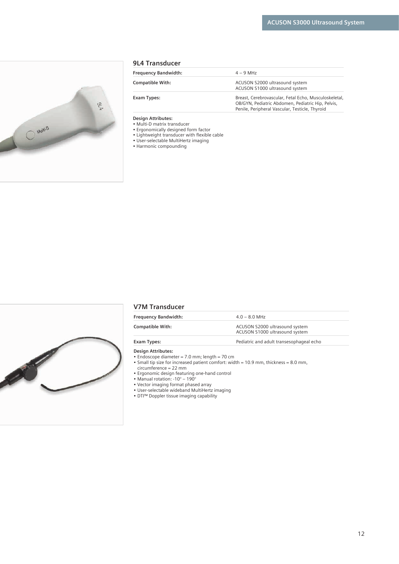<span id="page-11-0"></span>

| <b>Frequency Bandwidth:</b> | $4 - 9$ MHz                                                                                                                                                  |
|-----------------------------|--------------------------------------------------------------------------------------------------------------------------------------------------------------|
| <b>Compatible With:</b>     | ACUSON S2000 ultrasound system<br>ACUSON S1000 ultrasound system                                                                                             |
| Exam Types:                 | Breast, Cerebrovascular, Fetal Echo, Musculoskeletal,<br>OB/GYN, Pediatric Abdomen, Pediatric Hip, Pelvis,<br>Penile, Peripheral Vascular, Testicle, Thyroid |

- Multi-D matrix transducer
- Ergonomically designed form factor
- Lightweight transducer with flexible cable
	- User-selectable MultiHertz imaging • Harmonic compounding



#### **V7M Transducer**

| <b>Frequency Bandwidth:</b> | $4.0 - 8.0$ MHz                                                  |  |
|-----------------------------|------------------------------------------------------------------|--|
| <b>Compatible With:</b>     | ACUSON S2000 ultrasound system<br>ACUSON S1000 ultrasound system |  |
| Exam Types:                 | Pediatric and adult transesophageal echo                         |  |

- **Design Attributes:**
- Endoscope diameter = 7.0 mm; length = 70 cm
- Small tip size for increased patient comfort: width = 10.9 mm, thickness = 8.0 mm,
	- circumference = 22 mm
- Ergonomic design featuring one-hand control
	- Manual rotation: -10° 190°
- Vector imaging format phased array
- User-selectable wideband MultiHertz imaging
- DTI™ Doppler tissue imaging capability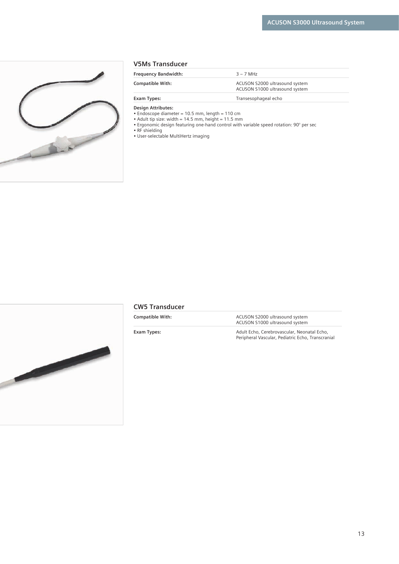<span id="page-12-0"></span>

|  | <b>V5Ms Transducer</b> |
|--|------------------------|
|--|------------------------|

| <b>Frequency Bandwidth:</b> | $3 - 7$ MHz                                                      |
|-----------------------------|------------------------------------------------------------------|
| <b>Compatible With:</b>     | ACUSON S2000 ultrasound system<br>ACUSON S1000 ultrasound system |
| Exam Types:                 | Transesophageal echo                                             |

- Endoscope diameter = 10.5 mm, length = 110 cm
- Adult tip size: width = 14.5 mm, height = 11.5 mm
- Ergonomic design featuring one-hand control with variable speed rotation: 90° per sec

• RF shielding

• User-selectable MultiHertz imaging



# **CW5 Transducer**

| <b>Compatible With:</b> | ACUSON S2000 ultrasound system<br>ACUSON S1000 ultrasound system                                 |  |
|-------------------------|--------------------------------------------------------------------------------------------------|--|
| Exam Types:             | Adult Echo, Cerebrovascular, Neonatal Echo,<br>Peripheral Vascular, Pediatric Echo, Transcranial |  |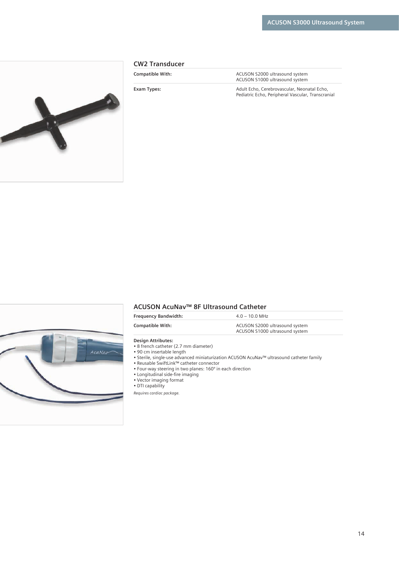<span id="page-13-0"></span>

#### **CW2 Transducer**

**Compatible With:**  $\qquad \qquad$  **ACUSON S2000** ultrasound system ACUSON S1000 ultrasound system

**Exam Types:** Adult Echo, Cerebrovascular, Neonatal Echo, Pediatric Echo, Peripheral Vascular, Transcranial



# **ACUSON AcuNav™ 8F Ultrasound Catheter**

| <b>Frequency Bandwidth:</b> | $4.0 - 10.0$ MHz               |  |
|-----------------------------|--------------------------------|--|
| <b>Compatible With:</b>     | ACUSON S2000 ultrasound system |  |
|                             | ACUSON S1000 ultrasound system |  |

#### **Design Attributes:**

- 8 french catheter (2.7 mm diameter)
- 90 cm insertable length
- Sterile, single-use advanced miniaturization ACUSON AcuNav™ ultrasound catheter family
- Reusable SwiftLink™ catheter connector
- Four-way steering in two planes: 160º in each direction
- Longitudinal side-fire imaging
- Vector imaging format
- DTI capability

*Requires cardiac package.*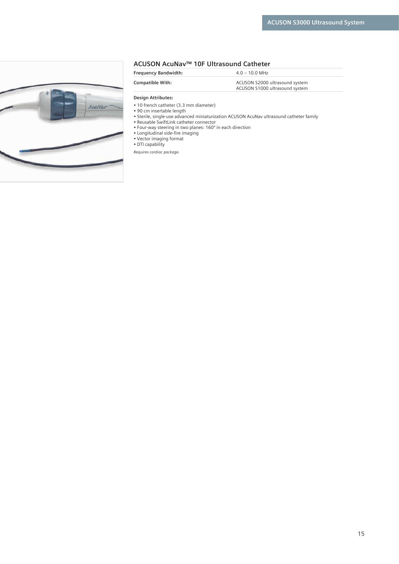#### **ACUSON AcuNav™ 10F Ultrasound Catheter**

**Frequency Bandwidth:** 4.0 – 10.0 MHz

**Compatible With:**  $\qquad \qquad \text{ACUSON S2000 ultrasound system}$ 

ACUSON S1000 ultrasound system

<span id="page-14-0"></span>

| g<br>ä |        |
|--------|--------|
|        | AcuNav |
|        |        |
|        |        |
|        |        |

**Design Attributes:** 

• 10 french catheter (3.3 mm diameter) • 90 cm insertable length

• Sterile, single-use advanced miniaturization ACUSON AcuNav ultrasound catheter family

- Reusable SwiftLink catheter connector
- Four-way steering in two planes: 160º in each direction
- Longitudinal side-fire imaging
- Vector imaging format • DTI capability

*Requires cardiac package.*